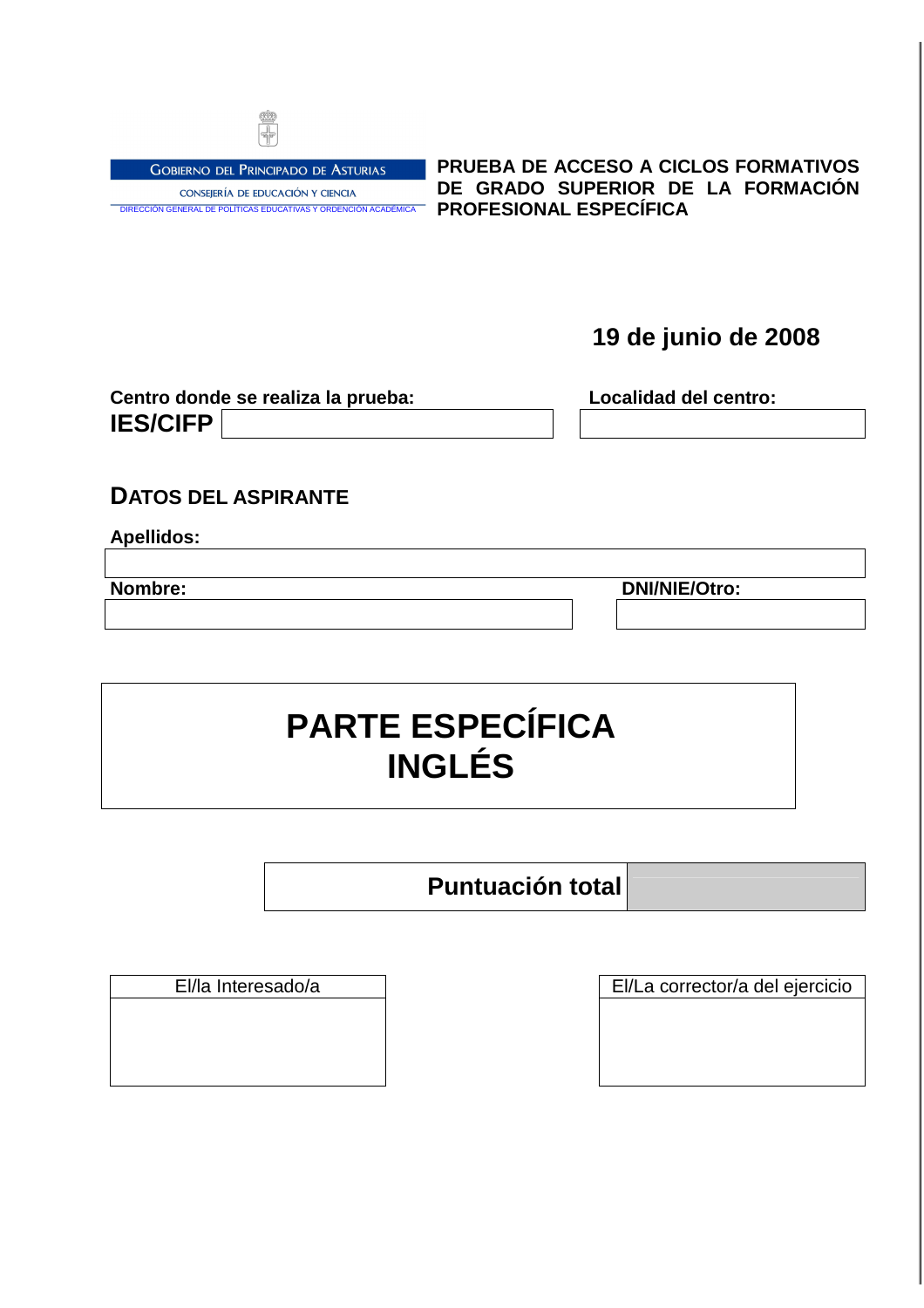

**GOBIERNO DEL PRINCIPADO DE ASTURIAS** CONSEJERÍA DE EDUCACIÓN Y CIENCIA DIRECCIÓN GENERAL DE POLÍTICAS EDUCATIVAS Y ORDENCIÓN ACADÉM **PRUEBA DE ACCESO A CICLOS FORMATIVOS DE GRADO SUPERIOR DE LA FORMACIÓN PROFESIONAL ESPECÍFICA** 

## **19 de junio de 2008**

| Centro donde se realiza la prueba: | Localidad del centro: |  |
|------------------------------------|-----------------------|--|
| <b>IES/CIFP</b>                    |                       |  |

### **DATOS DEL ASPIRANTE**

#### **Apellidos:**

**Nombre: DNI/NIE/Otro:**

# **PARTE ESPECÍFICA INGLÉS**

## **Puntuación total**

El/la Interesado/a El/La corrector/a del ejercicio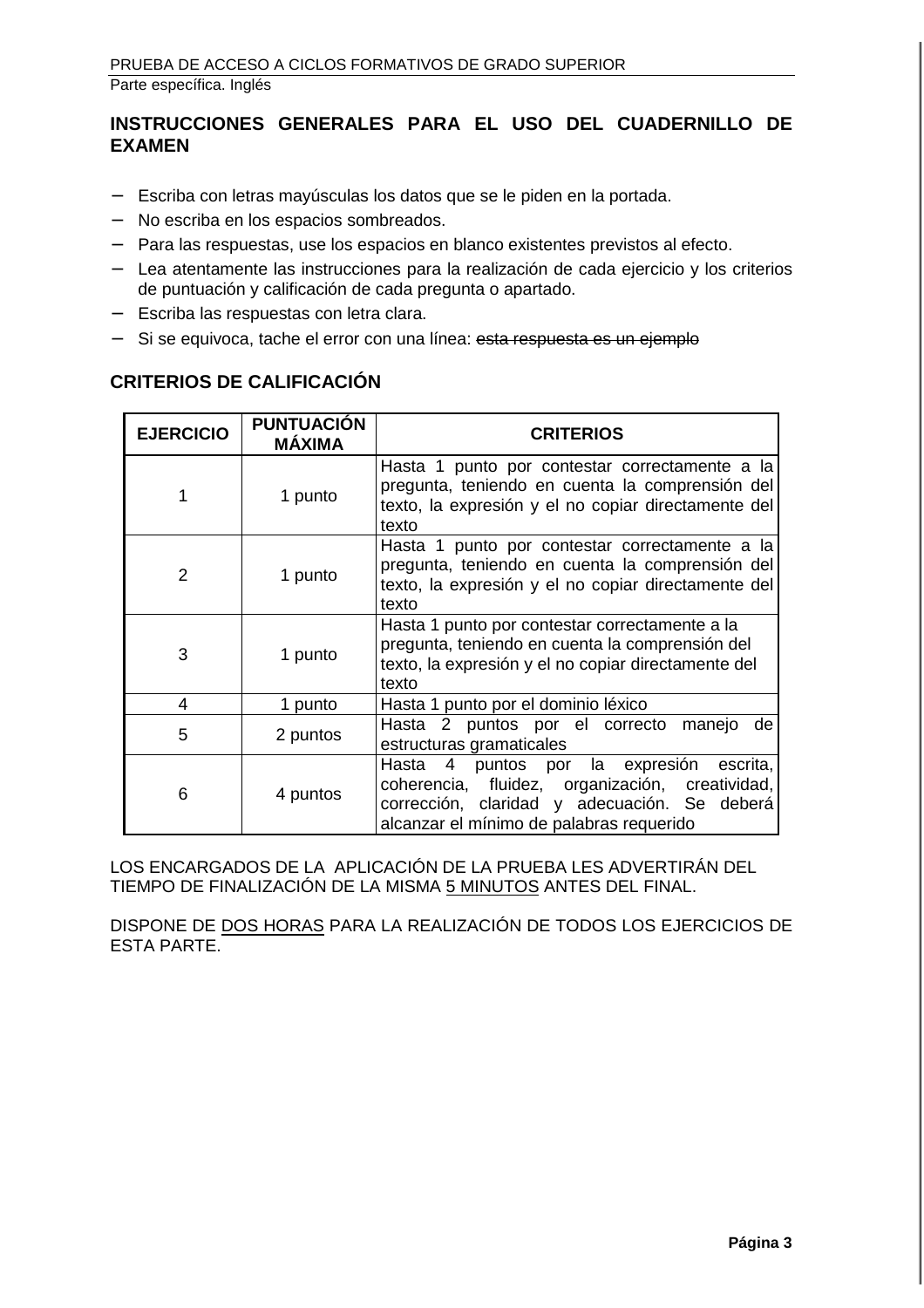#### **INSTRUCCIONES GENERALES PARA EL USO DEL CUADERNILLO DE EXAMEN**

- − Escriba con letras mayúsculas los datos que se le piden en la portada.
- − No escriba en los espacios sombreados.
- − Para las respuestas, use los espacios en blanco existentes previstos al efecto.
- − Lea atentamente las instrucciones para la realización de cada ejercicio y los criterios de puntuación y calificación de cada pregunta o apartado.
- − Escriba las respuestas con letra clara.
- − Si se equivoca, tache el error con una línea: esta respuesta es un ejemplo

#### **CRITERIOS DE CALIFICACIÓN**

| <b>EJERCICIO</b> | <b>PUNTUACIÓN</b><br><b>MÁXIMA</b> | <b>CRITERIOS</b>                                                                                                                                                                                              |
|------------------|------------------------------------|---------------------------------------------------------------------------------------------------------------------------------------------------------------------------------------------------------------|
|                  | 1 punto                            | Hasta 1 punto por contestar correctamente a la<br>pregunta, teniendo en cuenta la comprensión del<br>texto, la expresión y el no copiar directamente del<br>texto                                             |
| $\mathfrak{p}$   | 1 punto                            | Hasta 1 punto por contestar correctamente a la<br>pregunta, teniendo en cuenta la comprensión del<br>texto, la expresión y el no copiar directamente del<br>texto                                             |
| 3                | 1 punto                            | Hasta 1 punto por contestar correctamente a la<br>pregunta, teniendo en cuenta la comprensión del<br>texto, la expresión y el no copiar directamente del<br>texto                                             |
| 4                | 1 punto                            | Hasta 1 punto por el dominio léxico                                                                                                                                                                           |
| 5                | 2 puntos                           | Hasta 2 puntos por el correcto manejo<br>de<br>estructuras gramaticales                                                                                                                                       |
| 6                | 4 puntos                           | $\overline{4}$<br>puntos por la expresión<br>Hasta<br>escrita,<br>coherencia, fluidez, organización, creatividad,<br>corrección, claridad y adecuación. Se deberá<br>alcanzar el mínimo de palabras requerido |

LOS ENCARGADOS DE LA APLICACIÓN DE LA PRUEBA LES ADVERTIRÁN DEL TIEMPO DE FINALIZACIÓN DE LA MISMA 5 MINUTOS ANTES DEL FINAL.

DISPONE DE DOS HORAS PARA LA REALIZACIÓN DE TODOS LOS EJERCICIOS DE ESTA PARTE.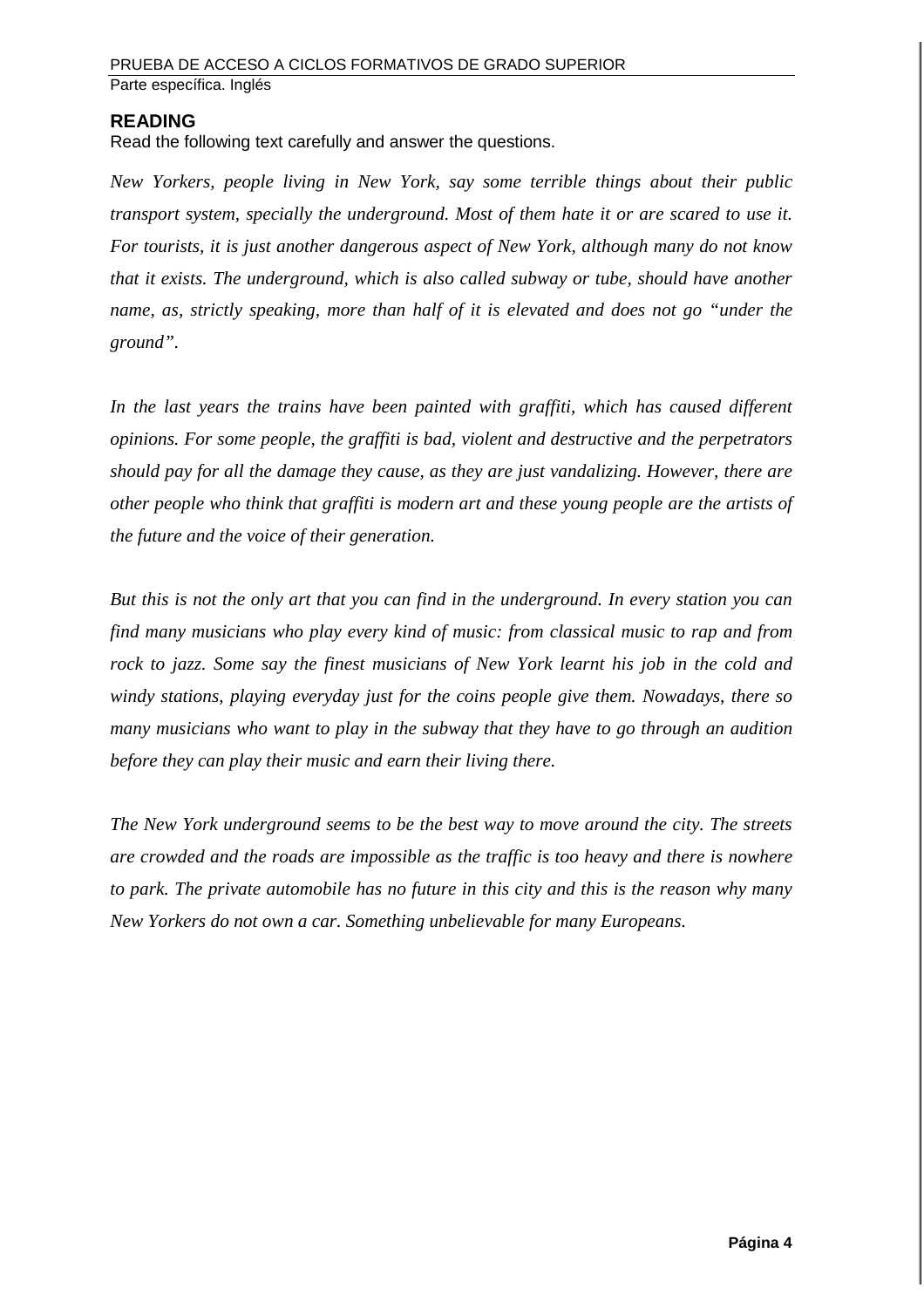#### **READING**

Read the following text carefully and answer the questions.

*New Yorkers, people living in New York, say some terrible things about their public transport system, specially the underground. Most of them hate it or are scared to use it. For tourists, it is just another dangerous aspect of New York, although many do not know that it exists. The underground, which is also called subway or tube, should have another name, as, strictly speaking, more than half of it is elevated and does not go "under the ground".* 

In the last years the trains have been painted with graffiti, which has caused different *opinions. For some people, the graffiti is bad, violent and destructive and the perpetrators should pay for all the damage they cause, as they are just vandalizing. However, there are other people who think that graffiti is modern art and these young people are the artists of the future and the voice of their generation.* 

*But this is not the only art that you can find in the underground. In every station you can find many musicians who play every kind of music: from classical music to rap and from rock to jazz. Some say the finest musicians of New York learnt his job in the cold and windy stations, playing everyday just for the coins people give them. Nowadays, there so many musicians who want to play in the subway that they have to go through an audition before they can play their music and earn their living there.* 

*The New York underground seems to be the best way to move around the city. The streets are crowded and the roads are impossible as the traffic is too heavy and there is nowhere to park. The private automobile has no future in this city and this is the reason why many New Yorkers do not own a car. Something unbelievable for many Europeans.*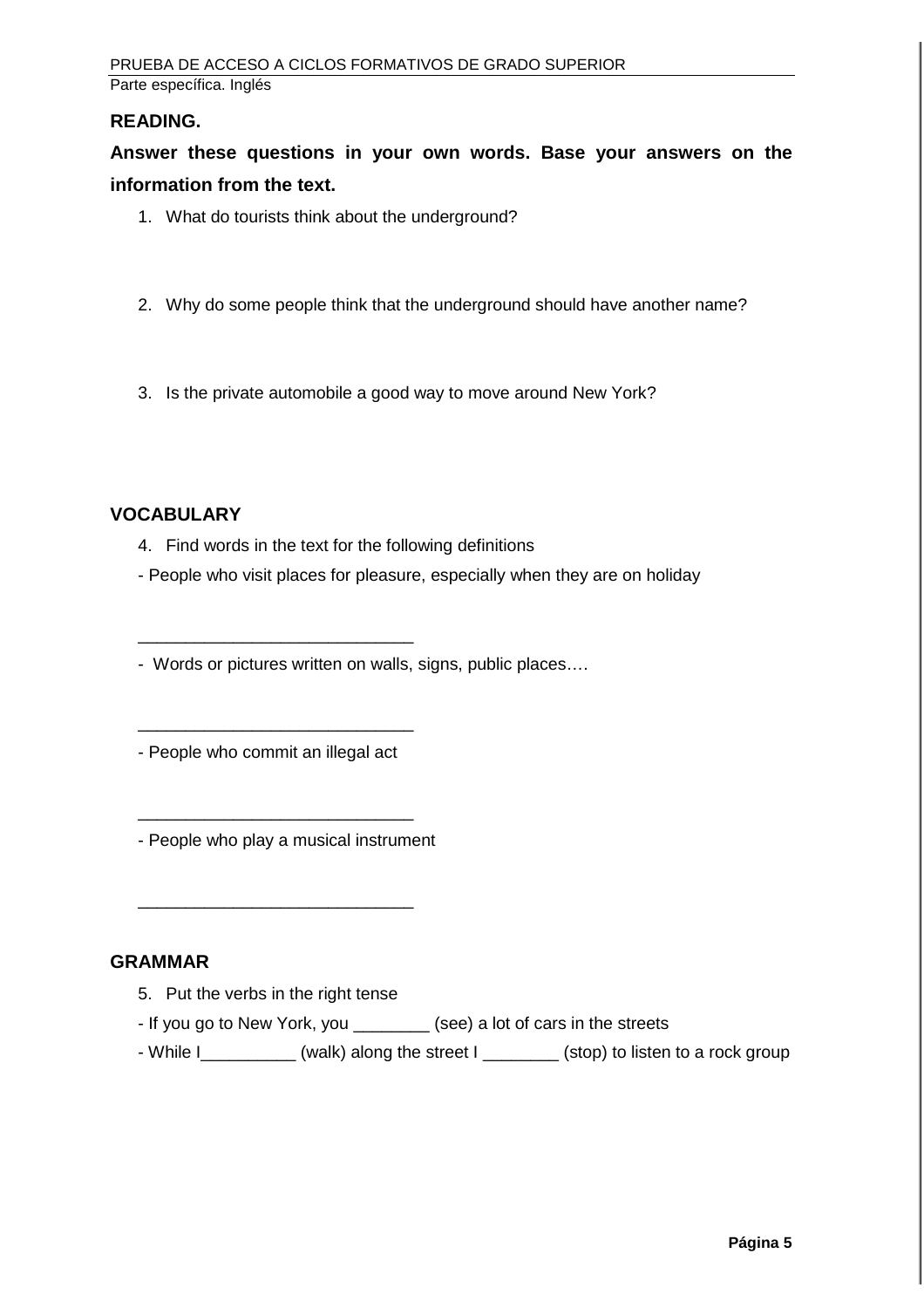#### **READING.**

**Answer these questions in your own words. Base your answers on the information from the text.** 

- 1. What do tourists think about the underground?
- 2. Why do some people think that the underground should have another name?
- 3. Is the private automobile a good way to move around New York?

#### **VOCABULARY**

- 4. Find words in the text for the following definitions
- People who visit places for pleasure, especially when they are on holiday

- Words or pictures written on walls, signs, public places….

- People who commit an illegal act

\_\_\_\_\_\_\_\_\_\_\_\_\_\_\_\_\_\_\_\_\_\_\_\_\_\_\_\_\_

\_\_\_\_\_\_\_\_\_\_\_\_\_\_\_\_\_\_\_\_\_\_\_\_\_\_\_\_\_

- People who play a musical instrument

\_\_\_\_\_\_\_\_\_\_\_\_\_\_\_\_\_\_\_\_\_\_\_\_\_\_\_\_\_

\_\_\_\_\_\_\_\_\_\_\_\_\_\_\_\_\_\_\_\_\_\_\_\_\_\_\_\_\_

#### **GRAMMAR**

- 5. Put the verbs in the right tense
- If you go to New York, you \_\_\_\_\_\_\_\_ (see) a lot of cars in the streets
- While I\_\_\_\_\_\_\_\_\_\_ (walk) along the street I \_\_\_\_\_\_\_\_ (stop) to listen to a rock group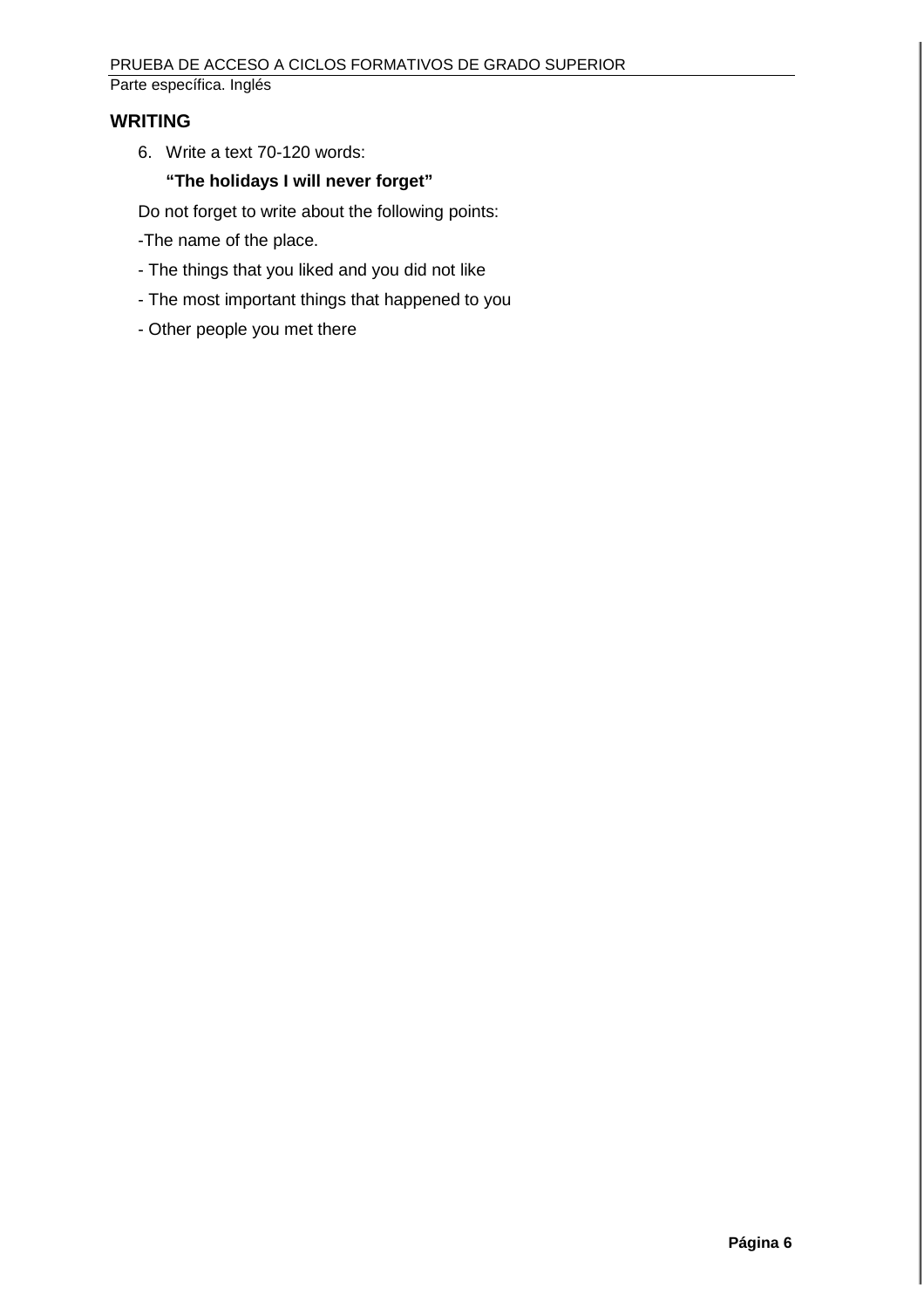#### **WRITING**

6. Write a text 70-120 words:

#### **"The holidays I will never forget"**

Do not forget to write about the following points:

- -The name of the place.
- The things that you liked and you did not like
- The most important things that happened to you
- Other people you met there